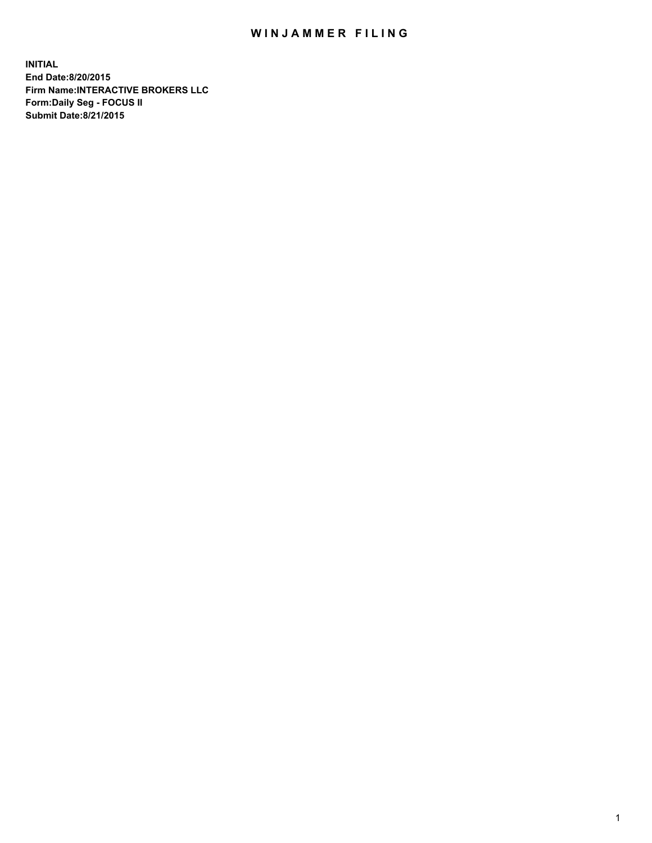## WIN JAMMER FILING

**INITIAL End Date:8/20/2015 Firm Name:INTERACTIVE BROKERS LLC Form:Daily Seg - FOCUS II Submit Date:8/21/2015**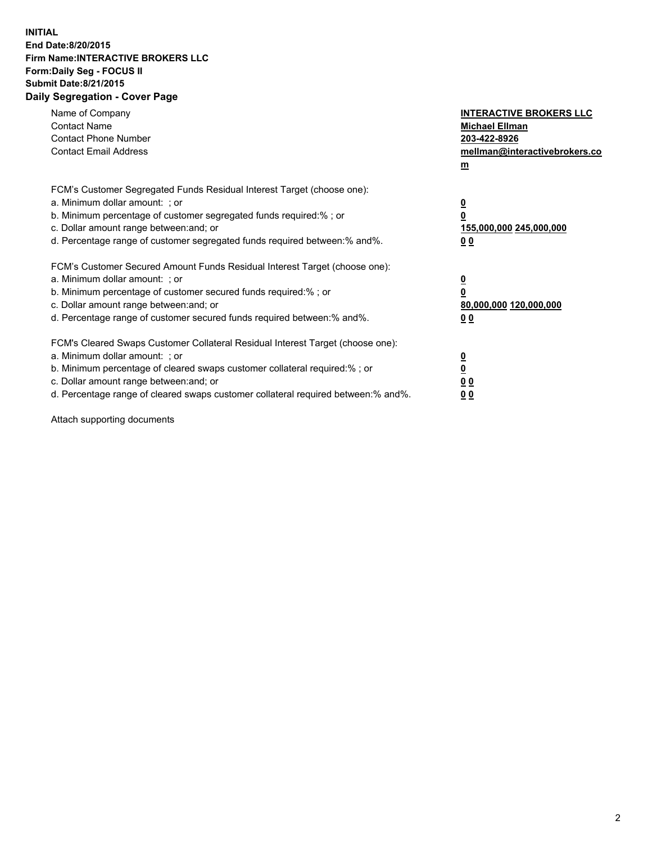## **INITIAL End Date:8/20/2015 Firm Name:INTERACTIVE BROKERS LLC Form:Daily Seg - FOCUS II Submit Date:8/21/2015 Daily Segregation - Cover Page**

| Name of Company<br><b>Contact Name</b><br><b>Contact Phone Number</b><br><b>Contact Email Address</b>                                                                                                                                                                                                                          | <b>INTERACTIVE BROKERS LLC</b><br><b>Michael Ellman</b><br>203-422-8926<br>mellman@interactivebrokers.co<br>$m$ |
|--------------------------------------------------------------------------------------------------------------------------------------------------------------------------------------------------------------------------------------------------------------------------------------------------------------------------------|-----------------------------------------------------------------------------------------------------------------|
| FCM's Customer Segregated Funds Residual Interest Target (choose one):<br>a. Minimum dollar amount: ; or<br>b. Minimum percentage of customer segregated funds required:% ; or<br>c. Dollar amount range between: and; or<br>d. Percentage range of customer segregated funds required between: % and %.                       | $\overline{\mathbf{0}}$<br>0<br>155,000,000 245,000,000<br>00                                                   |
| FCM's Customer Secured Amount Funds Residual Interest Target (choose one):<br>a. Minimum dollar amount: ; or<br>b. Minimum percentage of customer secured funds required:%; or<br>c. Dollar amount range between: and; or<br>d. Percentage range of customer secured funds required between: % and %.                          | $\overline{\mathbf{0}}$<br>0<br>80,000,000 120,000,000<br>0 <sub>0</sub>                                        |
| FCM's Cleared Swaps Customer Collateral Residual Interest Target (choose one):<br>a. Minimum dollar amount: ; or<br>b. Minimum percentage of cleared swaps customer collateral required:% ; or<br>c. Dollar amount range between: and; or<br>d. Percentage range of cleared swaps customer collateral required between:% and%. | $\overline{\mathbf{0}}$<br>$\underline{\mathbf{0}}$<br>0 <sub>0</sub><br>0 <sub>0</sub>                         |

Attach supporting documents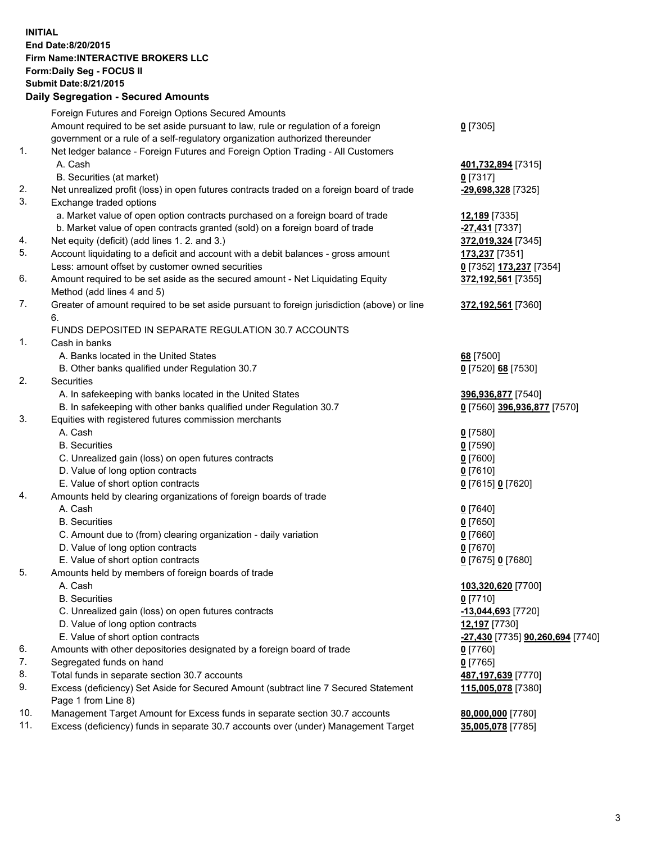## **INITIAL End Date:8/20/2015 Firm Name:INTERACTIVE BROKERS LLC Form:Daily Seg - FOCUS II Submit Date:8/21/2015 Daily Segregation - Secured Amounts**

|     | Daily Ocglegation - Occuled Amounts                                                         |                                  |
|-----|---------------------------------------------------------------------------------------------|----------------------------------|
|     | Foreign Futures and Foreign Options Secured Amounts                                         |                                  |
|     | Amount required to be set aside pursuant to law, rule or regulation of a foreign            | $0$ [7305]                       |
|     | government or a rule of a self-regulatory organization authorized thereunder                |                                  |
| 1.  | Net ledger balance - Foreign Futures and Foreign Option Trading - All Customers             |                                  |
|     | A. Cash                                                                                     | 401,732,894 [7315]               |
|     | B. Securities (at market)                                                                   | $0$ [7317]                       |
| 2.  | Net unrealized profit (loss) in open futures contracts traded on a foreign board of trade   | -29,698,328 [7325]               |
| 3.  | Exchange traded options                                                                     |                                  |
|     | a. Market value of open option contracts purchased on a foreign board of trade              | 12,189 [7335]                    |
|     | b. Market value of open contracts granted (sold) on a foreign board of trade                | $-27,431$ [7337]                 |
| 4.  | Net equity (deficit) (add lines 1. 2. and 3.)                                               | 372,019,324 [7345]               |
| 5.  | Account liquidating to a deficit and account with a debit balances - gross amount           | 173,237 [7351]                   |
|     | Less: amount offset by customer owned securities                                            | 0 [7352] 173,237 [7354]          |
| 6.  | Amount required to be set aside as the secured amount - Net Liquidating Equity              | 372,192,561 [7355]               |
|     | Method (add lines 4 and 5)                                                                  |                                  |
| 7.  | Greater of amount required to be set aside pursuant to foreign jurisdiction (above) or line | 372,192,561 [7360]               |
|     | 6.                                                                                          |                                  |
|     | FUNDS DEPOSITED IN SEPARATE REGULATION 30.7 ACCOUNTS                                        |                                  |
| 1.  | Cash in banks                                                                               |                                  |
|     | A. Banks located in the United States                                                       | 68 [7500]                        |
|     | B. Other banks qualified under Regulation 30.7                                              | 0 [7520] 68 [7530]               |
| 2.  | Securities                                                                                  |                                  |
|     | A. In safekeeping with banks located in the United States                                   | 396,936,877 [7540]               |
|     | B. In safekeeping with other banks qualified under Regulation 30.7                          | 0 [7560] 396,936,877 [7570]      |
| 3.  | Equities with registered futures commission merchants                                       |                                  |
|     | A. Cash                                                                                     | $0$ [7580]                       |
|     | <b>B.</b> Securities                                                                        | $0$ [7590]                       |
|     | C. Unrealized gain (loss) on open futures contracts                                         | $0$ [7600]                       |
|     | D. Value of long option contracts                                                           | $0$ [7610]                       |
|     | E. Value of short option contracts                                                          | 0 [7615] 0 [7620]                |
| 4.  | Amounts held by clearing organizations of foreign boards of trade                           |                                  |
|     | A. Cash                                                                                     | $0$ [7640]                       |
|     | <b>B.</b> Securities                                                                        | $0$ [7650]                       |
|     | C. Amount due to (from) clearing organization - daily variation                             | $0$ [7660]                       |
|     | D. Value of long option contracts                                                           | $0$ [7670]                       |
|     | E. Value of short option contracts                                                          | 0 [7675] 0 [7680]                |
| 5.  | Amounts held by members of foreign boards of trade                                          |                                  |
|     | A. Cash                                                                                     | 103,320,620 [7700]               |
|     | <b>B.</b> Securities                                                                        | $0$ [7710]                       |
|     | C. Unrealized gain (loss) on open futures contracts                                         | -13,044,693 [7720]               |
|     | D. Value of long option contracts                                                           | 12,197 [7730]                    |
|     | E. Value of short option contracts                                                          | -27,430 [7735] 90,260,694 [7740] |
| 6.  | Amounts with other depositories designated by a foreign board of trade                      | 0 [7760]                         |
| 7.  | Segregated funds on hand                                                                    | $0$ [7765]                       |
| 8.  | Total funds in separate section 30.7 accounts                                               | 487,197,639 [7770]               |
| 9.  | Excess (deficiency) Set Aside for Secured Amount (subtract line 7 Secured Statement         | 115,005,078 [7380]               |
|     | Page 1 from Line 8)                                                                         |                                  |
| 10. | Management Target Amount for Excess funds in separate section 30.7 accounts                 | 80,000,000 [7780]                |
| 11. | Excess (deficiency) funds in separate 30.7 accounts over (under) Management Target          | 35,005,078 [7785]                |
|     |                                                                                             |                                  |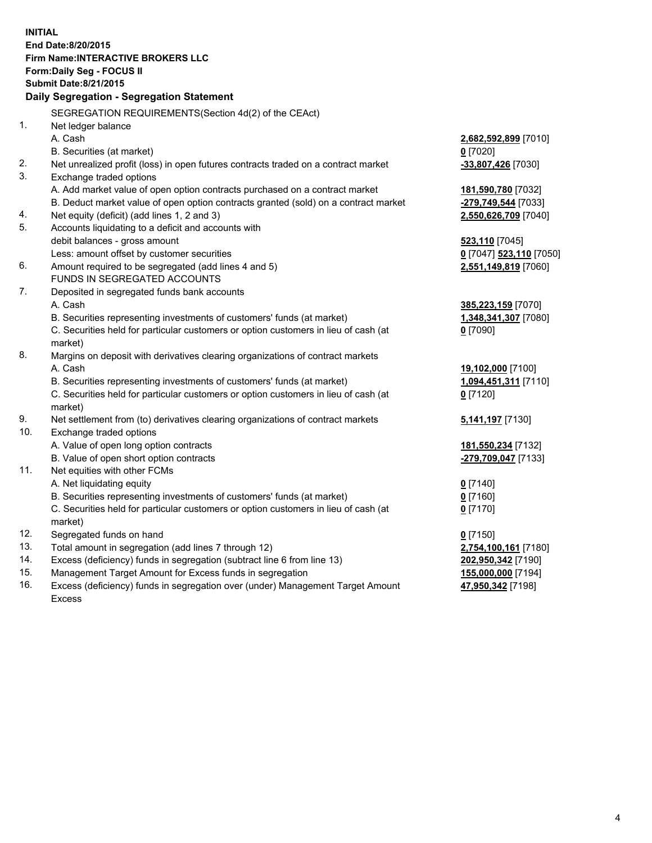**INITIAL End Date:8/20/2015 Firm Name:INTERACTIVE BROKERS LLC Form:Daily Seg - FOCUS II Submit Date:8/21/2015 Daily Segregation - Segregation Statement** SEGREGATION REQUIREMENTS(Section 4d(2) of the CEAct) 1. Net ledger balance A. Cash **2,682,592,899** [7010] B. Securities (at market) **0** [7020] 2. Net unrealized profit (loss) in open futures contracts traded on a contract market **-33,807,426** [7030] 3. Exchange traded options A. Add market value of open option contracts purchased on a contract market **181,590,780** [7032] B. Deduct market value of open option contracts granted (sold) on a contract market **-279,749,544** [7033] 4. Net equity (deficit) (add lines 1, 2 and 3) **2,550,626,709** [7040] 5. Accounts liquidating to a deficit and accounts with debit balances - gross amount **523,110** [7045] Less: amount offset by customer securities **0** [7047] **523,110** [7050] 6. Amount required to be segregated (add lines 4 and 5) **2,551,149,819** [7060] FUNDS IN SEGREGATED ACCOUNTS 7. Deposited in segregated funds bank accounts A. Cash **385,223,159** [7070] B. Securities representing investments of customers' funds (at market) **1,348,341,307** [7080] C. Securities held for particular customers or option customers in lieu of cash (at market) **0** [7090] 8. Margins on deposit with derivatives clearing organizations of contract markets A. Cash **19,102,000** [7100] B. Securities representing investments of customers' funds (at market) **1,094,451,311** [7110] C. Securities held for particular customers or option customers in lieu of cash (at market) **0** [7120] 9. Net settlement from (to) derivatives clearing organizations of contract markets **5,141,197** [7130] 10. Exchange traded options A. Value of open long option contracts **181,550,234** [7132] B. Value of open short option contracts **-279,709,047** [7133] 11. Net equities with other FCMs A. Net liquidating equity **0** [7140] B. Securities representing investments of customers' funds (at market) **0** [7160] C. Securities held for particular customers or option customers in lieu of cash (at market) **0** [7170] 12. Segregated funds on hand **0** [7150] 13. Total amount in segregation (add lines 7 through 12) **2,754,100,161** [7180] 14. Excess (deficiency) funds in segregation (subtract line 6 from line 13) **202,950,342** [7190] 15. Management Target Amount for Excess funds in segregation **155,000,000** [7194] **47,950,342** [7198]

16. Excess (deficiency) funds in segregation over (under) Management Target Amount Excess